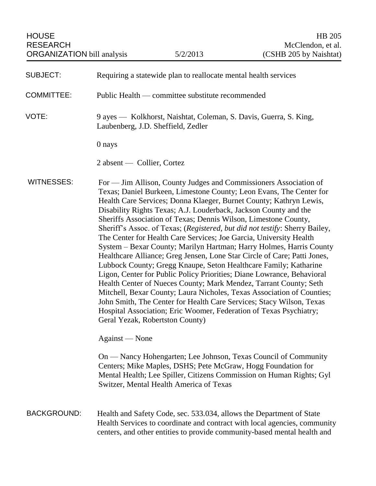| <b>SUBJECT:</b>    | Requiring a statewide plan to reallocate mental health services                                                                                                                                                                                                                                                                                                                                                                                                                                                                                                                                                                                                                                                                                                                                                                                                                                                                                                                                                                                                                                                                             |
|--------------------|---------------------------------------------------------------------------------------------------------------------------------------------------------------------------------------------------------------------------------------------------------------------------------------------------------------------------------------------------------------------------------------------------------------------------------------------------------------------------------------------------------------------------------------------------------------------------------------------------------------------------------------------------------------------------------------------------------------------------------------------------------------------------------------------------------------------------------------------------------------------------------------------------------------------------------------------------------------------------------------------------------------------------------------------------------------------------------------------------------------------------------------------|
| <b>COMMITTEE:</b>  | Public Health — committee substitute recommended                                                                                                                                                                                                                                                                                                                                                                                                                                                                                                                                                                                                                                                                                                                                                                                                                                                                                                                                                                                                                                                                                            |
| VOTE:              | 9 ayes — Kolkhorst, Naishtat, Coleman, S. Davis, Guerra, S. King,<br>Laubenberg, J.D. Sheffield, Zedler                                                                                                                                                                                                                                                                                                                                                                                                                                                                                                                                                                                                                                                                                                                                                                                                                                                                                                                                                                                                                                     |
|                    | 0 nays                                                                                                                                                                                                                                                                                                                                                                                                                                                                                                                                                                                                                                                                                                                                                                                                                                                                                                                                                                                                                                                                                                                                      |
|                    | 2 absent — Collier, Cortez                                                                                                                                                                                                                                                                                                                                                                                                                                                                                                                                                                                                                                                                                                                                                                                                                                                                                                                                                                                                                                                                                                                  |
| <b>WITNESSES:</b>  | For — Jim Allison, County Judges and Commissioners Association of<br>Texas; Daniel Burkeen, Limestone County; Leon Evans, The Center for<br>Health Care Services; Donna Klaeger, Burnet County; Kathryn Lewis,<br>Disability Rights Texas; A.J. Louderback, Jackson County and the<br>Sheriffs Association of Texas; Dennis Wilson, Limestone County,<br>Sheriff's Assoc. of Texas; (Registered, but did not testify: Sherry Bailey,<br>The Center for Health Care Services; Joe Garcia, University Health<br>System - Bexar County; Marilyn Hartman; Harry Holmes, Harris County<br>Healthcare Alliance; Greg Jensen, Lone Star Circle of Care; Patti Jones,<br>Lubbock County; Gregg Knaupe, Seton Healthcare Family; Katharine<br>Ligon, Center for Public Policy Priorities; Diane Lowrance, Behavioral<br>Health Center of Nueces County; Mark Mendez, Tarrant County; Seth<br>Mitchell, Bexar County; Laura Nicholes, Texas Association of Counties;<br>John Smith, The Center for Health Care Services; Stacy Wilson, Texas<br>Hospital Association; Eric Woomer, Federation of Texas Psychiatry;<br>Geral Yezak, Robertston County) |
|                    | Against — None                                                                                                                                                                                                                                                                                                                                                                                                                                                                                                                                                                                                                                                                                                                                                                                                                                                                                                                                                                                                                                                                                                                              |
|                    | On — Nancy Hohengarten; Lee Johnson, Texas Council of Community<br>Centers; Mike Maples, DSHS; Pete McGraw, Hogg Foundation for<br>Mental Health; Lee Spiller, Citizens Commission on Human Rights; Gyl<br>Switzer, Mental Health America of Texas                                                                                                                                                                                                                                                                                                                                                                                                                                                                                                                                                                                                                                                                                                                                                                                                                                                                                          |
| <b>BACKGROUND:</b> | Health and Safety Code, sec. 533.034, allows the Department of State<br>Health Services to coordinate and contract with local agencies, community<br>centers, and other entities to provide community-based mental health and                                                                                                                                                                                                                                                                                                                                                                                                                                                                                                                                                                                                                                                                                                                                                                                                                                                                                                               |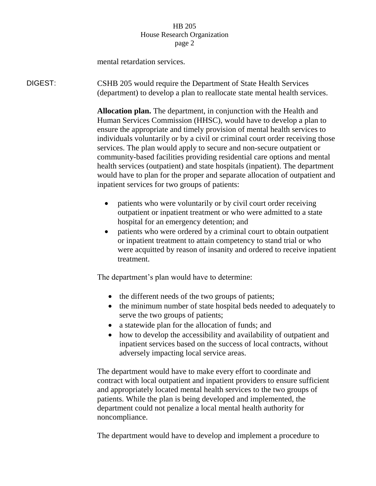## HB 205 House Research Organization page 2

mental retardation services.

DIGEST: CSHB 205 would require the Department of State Health Services (department) to develop a plan to reallocate state mental health services.

> **Allocation plan.** The department, in conjunction with the Health and Human Services Commission (HHSC), would have to develop a plan to ensure the appropriate and timely provision of mental health services to individuals voluntarily or by a civil or criminal court order receiving those services. The plan would apply to secure and non-secure outpatient or community-based facilities providing residential care options and mental health services (outpatient) and state hospitals (inpatient). The department would have to plan for the proper and separate allocation of outpatient and inpatient services for two groups of patients:

- patients who were voluntarily or by civil court order receiving outpatient or inpatient treatment or who were admitted to a state hospital for an emergency detention; and
- patients who were ordered by a criminal court to obtain outpatient or inpatient treatment to attain competency to stand trial or who were acquitted by reason of insanity and ordered to receive inpatient treatment.

The department's plan would have to determine:

- the different needs of the two groups of patients;
- the minimum number of state hospital beds needed to adequately to serve the two groups of patients;
- a statewide plan for the allocation of funds; and
- how to develop the accessibility and availability of outpatient and inpatient services based on the success of local contracts, without adversely impacting local service areas.

The department would have to make every effort to coordinate and contract with local outpatient and inpatient providers to ensure sufficient and appropriately located mental health services to the two groups of patients. While the plan is being developed and implemented, the department could not penalize a local mental health authority for noncompliance.

The department would have to develop and implement a procedure to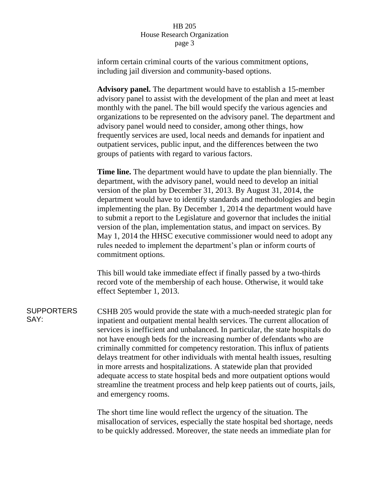## HB 205 House Research Organization page 3

inform certain criminal courts of the various commitment options, including jail diversion and community-based options.

**Advisory panel.** The department would have to establish a 15-member advisory panel to assist with the development of the plan and meet at least monthly with the panel. The bill would specify the various agencies and organizations to be represented on the advisory panel. The department and advisory panel would need to consider, among other things, how frequently services are used, local needs and demands for inpatient and outpatient services, public input, and the differences between the two groups of patients with regard to various factors.

**Time line.** The department would have to update the plan biennially. The department, with the advisory panel, would need to develop an initial version of the plan by December 31, 2013. By August 31, 2014, the department would have to identify standards and methodologies and begin implementing the plan. By December 1, 2014 the department would have to submit a report to the Legislature and governor that includes the initial version of the plan, implementation status, and impact on services. By May 1, 2014 the HHSC executive commissioner would need to adopt any rules needed to implement the department's plan or inform courts of commitment options.

This bill would take immediate effect if finally passed by a two-thirds record vote of the membership of each house. Otherwise, it would take effect September 1, 2013.

**SUPPORTERS** SAY: CSHB 205 would provide the state with a much-needed strategic plan for inpatient and outpatient mental health services. The current allocation of services is inefficient and unbalanced. In particular, the state hospitals do not have enough beds for the increasing number of defendants who are criminally committed for competency restoration. This influx of patients delays treatment for other individuals with mental health issues, resulting in more arrests and hospitalizations. A statewide plan that provided adequate access to state hospital beds and more outpatient options would streamline the treatment process and help keep patients out of courts, jails, and emergency rooms.

> The short time line would reflect the urgency of the situation. The misallocation of services, especially the state hospital bed shortage, needs to be quickly addressed. Moreover, the state needs an immediate plan for